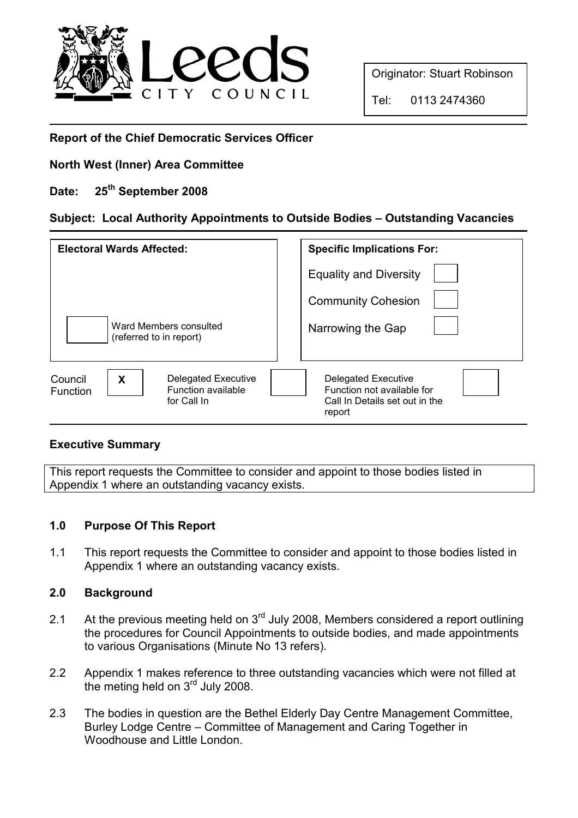

Originator: Stuart Robinson

Tel: 0113 2474360

## Report of the Chief Democratic Services Officer

## North West (Inner) Area Committee

# Date: 25<sup>th</sup> September 2008

# Subject: Local Authority Appointments to Outside Bodies – Outstanding Vacancies

| <b>Electoral Wards Affected:</b>                                                     | <b>Specific Implications For:</b>                                                             |
|--------------------------------------------------------------------------------------|-----------------------------------------------------------------------------------------------|
|                                                                                      | <b>Equality and Diversity</b>                                                                 |
|                                                                                      | <b>Community Cohesion</b>                                                                     |
| Ward Members consulted<br>(referred to in report)                                    | Narrowing the Gap                                                                             |
| Delegated Executive<br>X<br>Council<br>Function available<br>Function<br>for Call In | Delegated Executive<br>Function not available for<br>Call In Details set out in the<br>report |

## Executive Summary

This report requests the Committee to consider and appoint to those bodies listed in Appendix 1 where an outstanding vacancy exists.

## 1.0 Purpose Of This Report

1.1 This report requests the Committee to consider and appoint to those bodies listed in Appendix 1 where an outstanding vacancy exists.

#### 2.0 Background

- 2.1 At the previous meeting held on  $3<sup>rd</sup>$  July 2008, Members considered a report outlining the procedures for Council Appointments to outside bodies, and made appointments to various Organisations (Minute No 13 refers).
- 2.2 Appendix 1 makes reference to three outstanding vacancies which were not filled at the meting held on 3<sup>rd</sup> July 2008.
- 2.3 The bodies in question are the Bethel Elderly Day Centre Management Committee, Burley Lodge Centre – Committee of Management and Caring Together in Woodhouse and Little London.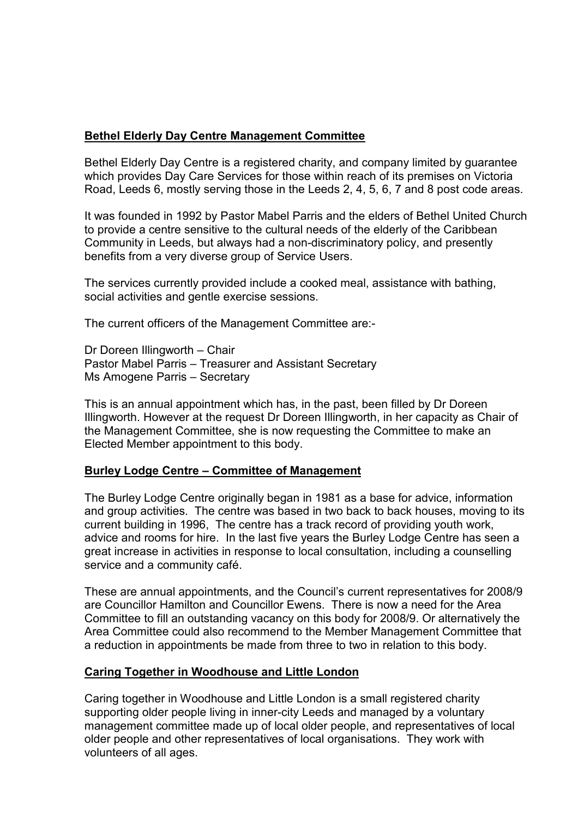### Bethel Elderly Day Centre Management Committee

Bethel Elderly Day Centre is a registered charity, and company limited by guarantee which provides Day Care Services for those within reach of its premises on Victoria Road, Leeds 6, mostly serving those in the Leeds 2, 4, 5, 6, 7 and 8 post code areas.

It was founded in 1992 by Pastor Mabel Parris and the elders of Bethel United Church to provide a centre sensitive to the cultural needs of the elderly of the Caribbean Community in Leeds, but always had a non-discriminatory policy, and presently benefits from a very diverse group of Service Users.

The services currently provided include a cooked meal, assistance with bathing, social activities and gentle exercise sessions.

The current officers of the Management Committee are:-

Dr Doreen Illingworth – Chair Pastor Mabel Parris – Treasurer and Assistant Secretary Ms Amogene Parris – Secretary

This is an annual appointment which has, in the past, been filled by Dr Doreen Illingworth. However at the request Dr Doreen Illingworth, in her capacity as Chair of the Management Committee, she is now requesting the Committee to make an Elected Member appointment to this body.

#### Burley Lodge Centre – Committee of Management

The Burley Lodge Centre originally began in 1981 as a base for advice, information and group activities. The centre was based in two back to back houses, moving to its current building in 1996, The centre has a track record of providing youth work, advice and rooms for hire. In the last five years the Burley Lodge Centre has seen a great increase in activities in response to local consultation, including a counselling service and a community café.

These are annual appointments, and the Council's current representatives for 2008/9 are Councillor Hamilton and Councillor Ewens. There is now a need for the Area Committee to fill an outstanding vacancy on this body for 2008/9. Or alternatively the Area Committee could also recommend to the Member Management Committee that a reduction in appointments be made from three to two in relation to this body.

#### Caring Together in Woodhouse and Little London

Caring together in Woodhouse and Little London is a small registered charity supporting older people living in inner-city Leeds and managed by a voluntary management committee made up of local older people, and representatives of local older people and other representatives of local organisations. They work with volunteers of all ages.